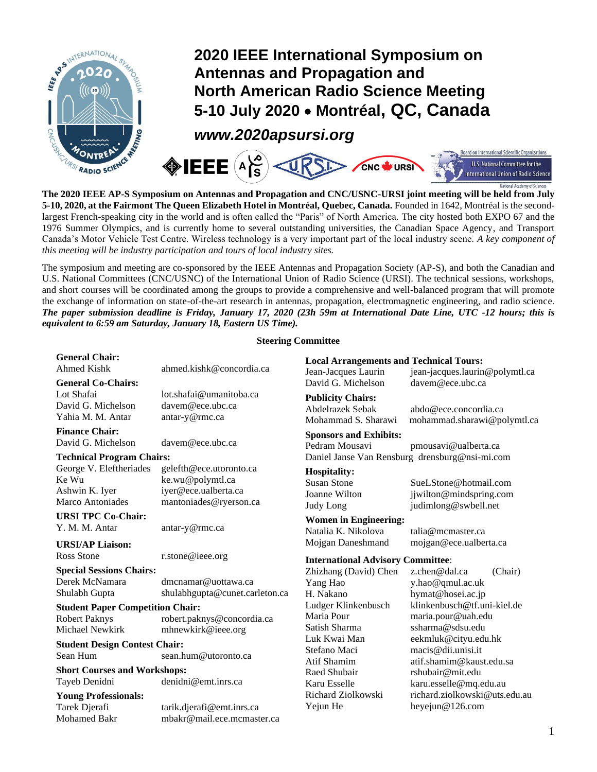

## **2020 IEEE International Symposium on Antennas and Propagation and North American Radio Science Meeting 5-10 July 2020** • **Montréal, QC, Canada**

*www.2020apsursi.org*



**The 2020 IEEE AP-S Symposium on Antennas and Propagation and CNC/USNC-URSI joint meeting will be held from July 5-10, 2020, at the Fairmont The Queen Elizabeth Hotel in Montréal, Quebec, Canada.** Founded in 1642, Montréal is the secondlargest French-speaking city in the world and is often called the "Paris" of North America. The city hosted both EXPO 67 and the 1976 Summer Olympics, and is currently home to several outstanding universities, the Canadian Space Agency, and Transport Canada's Motor Vehicle Test Centre. Wireless technology is a very important part of the local industry scene. *A key component of this meeting will be industry participation and tours of local industry sites.*

The symposium and meeting are co-sponsored by the IEEE Antennas and Propagation Society (AP-S), and both the Canadian and U.S. National Committees (CNC/USNC) of the International Union of Radio Science (URSI). The technical sessions, workshops, and short courses will be coordinated among the groups to provide a comprehensive and well-balanced program that will promote the exchange of information on state-of-the-art research in antennas, propagation, electromagnetic engineering, and radio science. *The paper submission deadline is Friday, January 17, 2020 (23h 59m at International Date Line, UTC -12 hours; this is equivalent to 6:59 am Saturday, January 18, Eastern US Time).* 

## **Steering Committee**

| <b>General Chair:</b><br><b>Ahmed Kishk</b> | ahmed.kishk@concordia.ca       | <b>Local Arrangements and Technical Tours:</b><br>Jean-Jacques Laurin | jean-jacques.laurin@polymtl.ca |
|---------------------------------------------|--------------------------------|-----------------------------------------------------------------------|--------------------------------|
| <b>General Co-Chairs:</b>                   |                                | David G. Michelson                                                    | davem@ece.ubc.ca               |
| Lot Shafai                                  | lot.shafai@umanitoba.ca        | <b>Publicity Chairs:</b>                                              |                                |
| David G. Michelson                          | davem@ece.ubc.ca               | Abdelrazek Sebak                                                      | abdo@ece.concordia.ca          |
| Yahia M. M. Antar                           | antar-y@rmc.ca                 | Mohammad S. Sharawi                                                   | mohammad.sharawi@polymtl.ca    |
| <b>Finance Chair:</b>                       |                                | <b>Sponsors and Exhibits:</b>                                         |                                |
| David G. Michelson                          | davem@ece.ubc.ca               | Pedram Mousavi                                                        | pmousavi@ualberta.ca           |
| <b>Technical Program Chairs:</b>            |                                | Daniel Janse Van Rensburg drensburg@nsi-mi.com                        |                                |
| George V. Eleftheriades                     | gelefth@ece.utoronto.ca        | <b>Hospitality:</b>                                                   |                                |
| Ke Wu                                       | ke.wu@polymtl.ca               | <b>Susan Stone</b>                                                    | SueLStone@hotmail.com          |
| Ashwin K. Iyer                              | iyer@ece.ualberta.ca           | Joanne Wilton                                                         | jjwilton@mindspring.com        |
| Marco Antoniades                            | mantoniades@ryerson.ca         | Judy Long                                                             | judimlong@swbell.net           |
| <b>URSI TPC Co-Chair:</b>                   |                                | <b>Women in Engineering:</b>                                          |                                |
| Y. M. M. Antar                              | antar-y@rmc.ca                 | Natalia K. Nikolova                                                   | talia@mcmaster.ca              |
|                                             |                                | Mojgan Daneshmand                                                     | mojgan@ece.ualberta.ca         |
| <b>URSI/AP Liaison:</b><br>Ross Stone       |                                |                                                                       |                                |
| r.stone@ieee.org                            |                                | <b>International Advisory Committee:</b>                              |                                |
| <b>Special Sessions Chairs:</b>             |                                | Zhizhang (David) Chen                                                 | z.chen@dal.ca<br>(Chair)       |
| Derek McNamara                              | dmcnamar@uottawa.ca            | Yang Hao                                                              | y.hao@qmul.ac.uk               |
| Shulabh Gupta                               | shulabhgupta@cunet.carleton.ca | H. Nakano                                                             | hymat@hosei.ac.jp              |
| <b>Student Paper Competition Chair:</b>     |                                | Ludger Klinkenbusch                                                   | klinkenbusch@tf.uni-kiel.de    |
| <b>Robert Paknys</b>                        | robert.paknys@concordia.ca     | Maria Pour                                                            | maria.pour@uah.edu             |
| Michael Newkirk                             | mhnewkirk@ieee.org             | Satish Sharma                                                         | ssharma@sdsu.edu               |
| <b>Student Design Contest Chair:</b>        |                                | Luk Kwai Man                                                          | eekmluk@cityu.edu.hk           |
| Sean Hum                                    | sean.hum@utoronto.ca           | Stefano Maci                                                          | macis@dii.unisi.it             |
| <b>Short Courses and Workshops:</b>         |                                | Atif Shamim                                                           | atif.shamim@kaust.edu.sa       |
| Tayeb Denidni                               | denidni@emt.inrs.ca            | Raed Shubair                                                          | rshubair@mit.edu               |
|                                             |                                | Karu Esselle                                                          | karu.esselle@mq.edu.au         |
| <b>Young Professionals:</b>                 |                                | Richard Ziolkowski                                                    | richard.ziolkowski@uts.edu.au  |
| Tarek Djerafi                               | tarik.djerafi@emt.inrs.ca      | Yejun He                                                              | heyejun@126.com                |
| <b>Mohamed Bakr</b>                         | mbakr@mail.ece.mcmaster.ca     |                                                                       |                                |